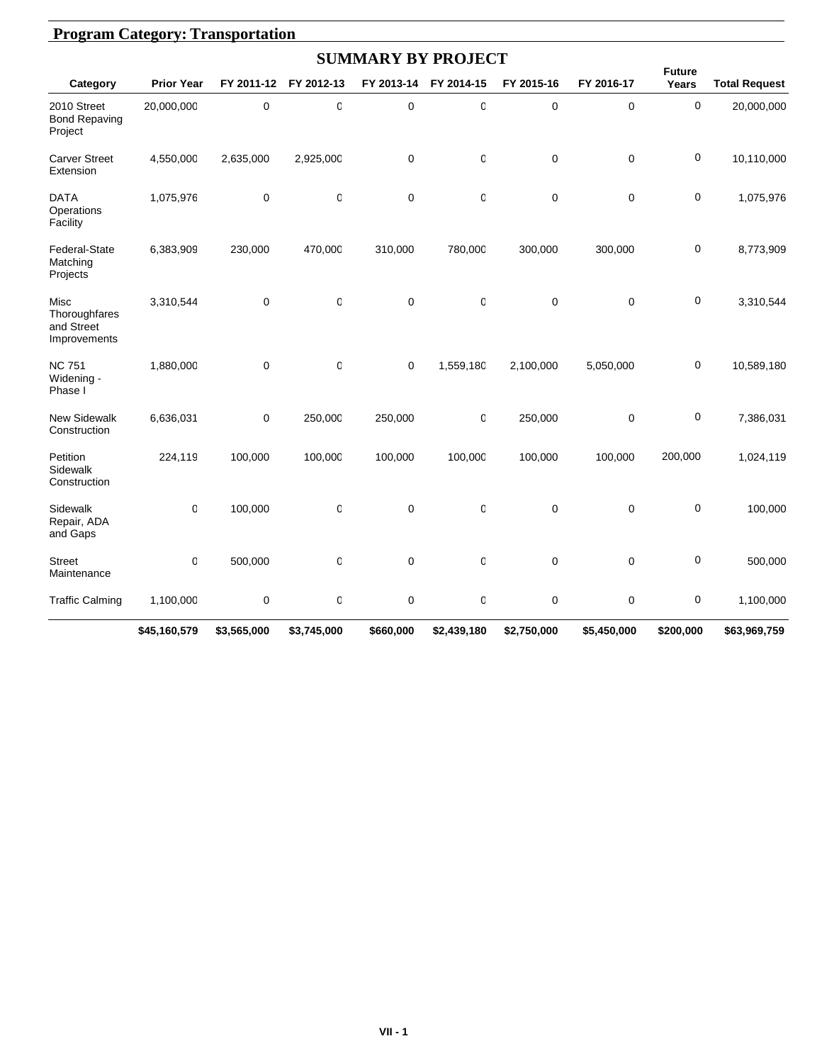|                                                     |                   |             |             | <b>SUMMARY BY PROJECT</b> |                  |             |             |                        |                      |
|-----------------------------------------------------|-------------------|-------------|-------------|---------------------------|------------------|-------------|-------------|------------------------|----------------------|
| Category                                            | <b>Prior Year</b> | FY 2011-12  | FY 2012-13  | FY 2013-14                | FY 2014-15       | FY 2015-16  | FY 2016-17  | <b>Future</b><br>Years | <b>Total Request</b> |
| 2010 Street<br><b>Bond Repaving</b><br>Project      | 20,000,000        | $\mathbf 0$ | $\mathbf 0$ | $\mathbf 0$               | $\mathbf 0$      | 0           | $\mathbf 0$ | $\mathbf 0$            | 20,000,000           |
| <b>Carver Street</b><br>Extension                   | 4,550,000         | 2,635,000   | 2,925,000   | $\pmb{0}$                 | 0                | 0           | $\mathbf 0$ | $\pmb{0}$              | 10,110,000           |
| <b>DATA</b><br>Operations<br>Facility               | 1,075,976         | $\mathbf 0$ | $\mathsf 0$ | $\mathbf 0$               | 0                | 0           | 0           | $\mathbf 0$            | 1,075,976            |
| Federal-State<br>Matching<br>Projects               | 6,383,909         | 230,000     | 470,000     | 310,000                   | 780,000          | 300,000     | 300,000     | 0                      | 8,773,909            |
| Misc<br>Thoroughfares<br>and Street<br>Improvements | 3,310,544         | $\mathbf 0$ | 0           | 0                         | 0                | 0           | $\mathbf 0$ | 0                      | 3,310,544            |
| <b>NC 751</b><br>Widening -<br>Phase I              | 1,880,000         | $\mathbf 0$ | $\mathbf 0$ | $\mathbf 0$               | 1,559,180        | 2,100,000   | 5,050,000   | 0                      | 10,589,180           |
| New Sidewalk<br>Construction                        | 6,636,031         | $\mathbf 0$ | 250,000     | 250,000                   | 0                | 250,000     | 0           | 0                      | 7,386,031            |
| Petition<br>Sidewalk<br>Construction                | 224,119           | 100,000     | 100,000     | 100,000                   | 100,000          | 100,000     | 100,000     | 200,000                | 1,024,119            |
| Sidewalk<br>Repair, ADA<br>and Gaps                 | $\mathbf 0$       | 100,000     | $\mathbf 0$ | $\mathbf 0$               | $\boldsymbol{0}$ | 0           | $\mathbf 0$ | $\pmb{0}$              | 100,000              |
| <b>Street</b><br>Maintenance                        | $\mathbf 0$       | 500,000     | 0           | $\mathbf 0$               | 0                | 0           | $\mathbf 0$ | 0                      | 500,000              |
| <b>Traffic Calming</b>                              | 1,100,000         | 0           | 0           | $\mathbf 0$               | 0                | 0           | 0           | $\pmb{0}$              | 1,100,000            |
|                                                     | \$45,160,579      | \$3,565,000 | \$3,745,000 | \$660,000                 | \$2,439,180      | \$2,750,000 | \$5,450,000 | \$200,000              | \$63,969,759         |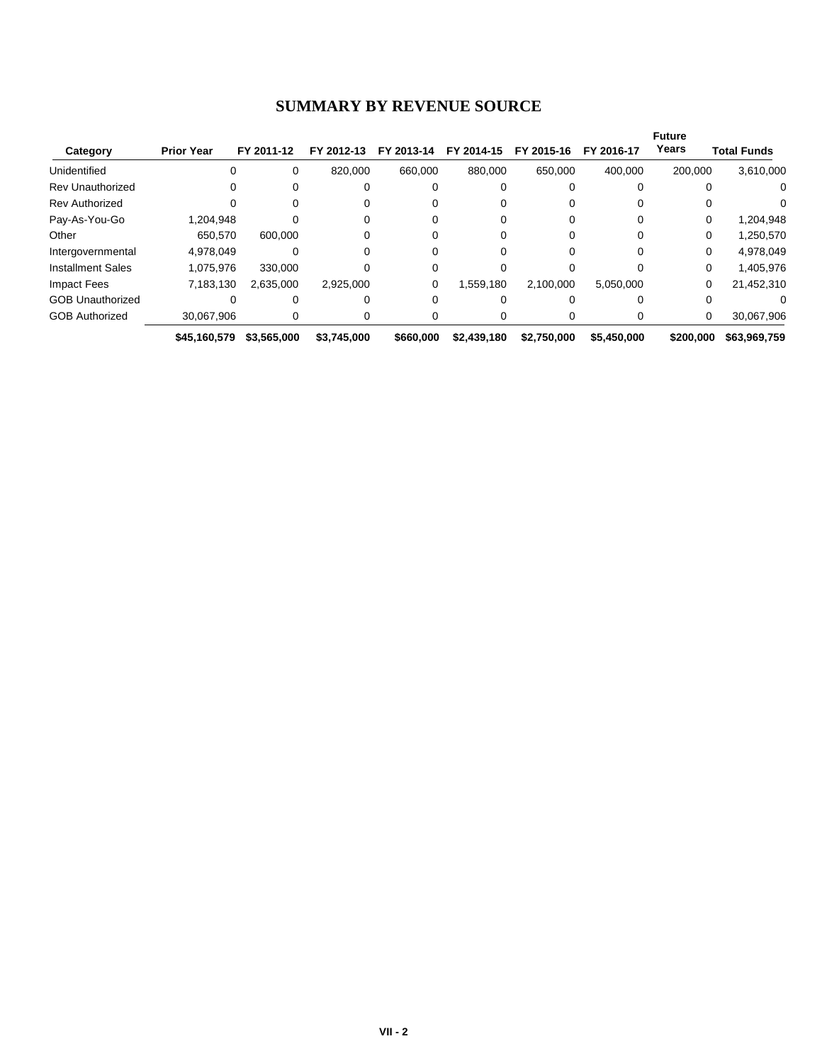#### **SUMMARY BY REVENUE SOURCE**

|                          |                   |             |             |            |             |             |             | <b>Future</b> |                    |
|--------------------------|-------------------|-------------|-------------|------------|-------------|-------------|-------------|---------------|--------------------|
| Category                 | <b>Prior Year</b> | FY 2011-12  | FY 2012-13  | FY 2013-14 | FY 2014-15  | FY 2015-16  | FY 2016-17  | Years         | <b>Total Funds</b> |
| Unidentified             | 0                 | 0           | 820,000     | 660,000    | 880,000     | 650.000     | 400,000     | 200,000       | 3,610,000          |
| <b>Rev Unauthorized</b>  | 0                 |             |             |            |             |             |             |               | 0                  |
| <b>Rev Authorized</b>    |                   |             | 0           |            |             |             |             |               |                    |
| Pay-As-You-Go            | 1,204,948         |             | 0           |            |             |             |             | 0             | 1,204,948          |
| Other                    | 650.570           | 600.000     |             |            |             |             |             | 0             | 1,250,570          |
| Intergovernmental        | 4,978,049         |             |             |            |             |             |             | $\Omega$      | 4,978,049          |
| <b>Installment Sales</b> | 1.075.976         | 330.000     |             |            |             |             |             | $\Omega$      | 1,405,976          |
| Impact Fees              | 7,183,130         | 2,635,000   | 2,925,000   | 0          | 1,559,180   | 2,100,000   | 5,050,000   | 0             | 21,452,310         |
| <b>GOB Unauthorized</b>  |                   |             |             |            |             |             |             |               |                    |
| <b>GOB Authorized</b>    | 30,067,906        | 0           | 0           |            |             |             |             | 0             | 30,067,906         |
|                          | \$45,160,579      | \$3,565,000 | \$3,745,000 | \$660,000  | \$2,439,180 | \$2,750,000 | \$5,450,000 | \$200,000     | \$63,969,759       |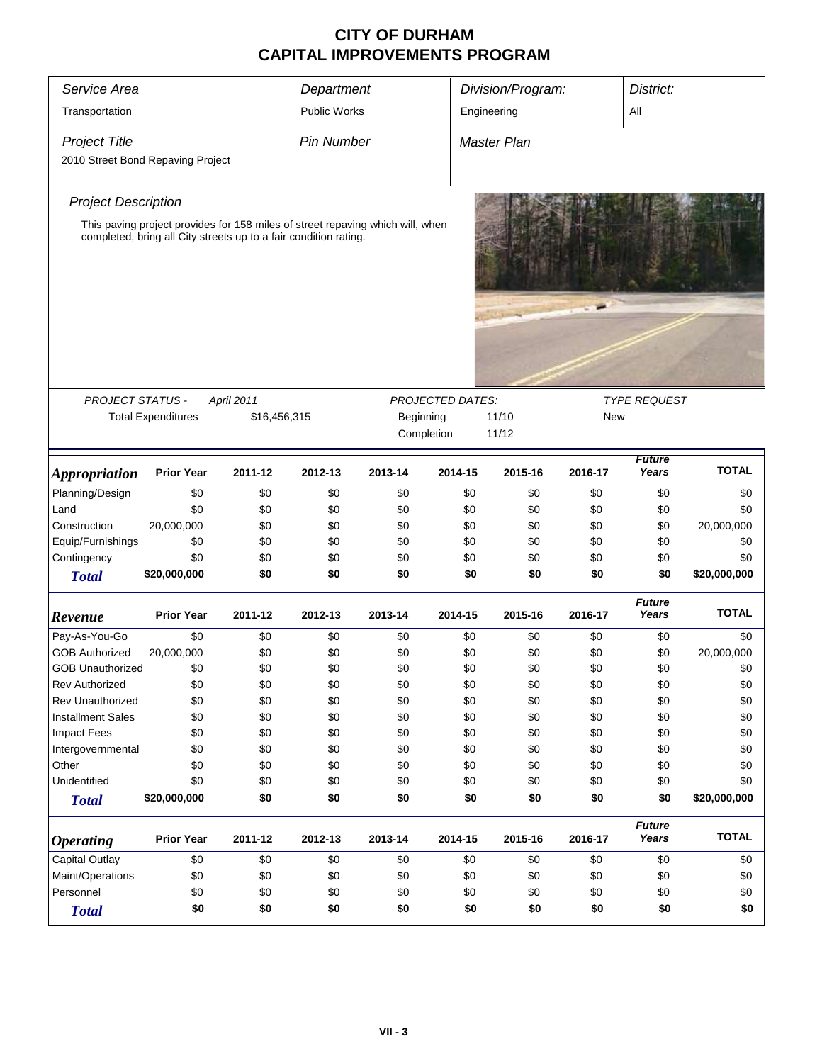| Service Area                                              | Department<br>Division/Program:<br>District:                                                                                                       |                            |                     |           |                                       |                |            |                        |              |
|-----------------------------------------------------------|----------------------------------------------------------------------------------------------------------------------------------------------------|----------------------------|---------------------|-----------|---------------------------------------|----------------|------------|------------------------|--------------|
| Transportation                                            |                                                                                                                                                    |                            | <b>Public Works</b> |           |                                       | Engineering    |            | All                    |              |
| <b>Project Title</b><br>2010 Street Bond Repaving Project |                                                                                                                                                    |                            | <b>Pin Number</b>   |           |                                       | Master Plan    |            |                        |              |
| <b>Project Description</b>                                |                                                                                                                                                    |                            |                     |           |                                       |                |            |                        |              |
|                                                           | This paving project provides for 158 miles of street repaving which will, when<br>completed, bring all City streets up to a fair condition rating. |                            |                     |           |                                       |                |            |                        |              |
|                                                           |                                                                                                                                                    |                            |                     |           |                                       |                |            |                        |              |
| PROJECT STATUS -                                          | <b>Total Expenditures</b>                                                                                                                          | April 2011<br>\$16,456,315 |                     | Beginning | <b>PROJECTED DATES:</b><br>Completion | 11/10<br>11/12 | <b>New</b> | <b>TYPE REQUEST</b>    |              |
| <b>Appropriation</b>                                      | <b>Prior Year</b>                                                                                                                                  | 2011-12                    | 2012-13             | 2013-14   | 2014-15                               | 2015-16        | 2016-17    | <b>Future</b><br>Years | <b>TOTAL</b> |
| Planning/Design                                           | \$0                                                                                                                                                | \$0                        | \$0                 | \$0       | \$0                                   | \$0            | \$0        | \$0                    | \$0          |
| Land                                                      | \$0                                                                                                                                                | \$0                        | \$0                 | \$0       | \$0                                   | \$0            | \$0        | \$0                    | \$0          |
| Construction                                              | 20,000,000                                                                                                                                         | \$0                        | \$0                 | \$0       | \$0                                   | \$0            | \$0        | \$0                    | 20,000,000   |
| Equip/Furnishings                                         | \$0                                                                                                                                                | \$0                        | \$0                 | \$0       | \$0                                   | \$0            | \$0        | \$0                    | \$0          |
| Contingency                                               | \$0                                                                                                                                                | \$0                        | \$0                 | \$0       | \$0                                   | \$0            | \$0        | \$0                    | \$0          |
| <b>Total</b>                                              | \$20,000,000                                                                                                                                       | \$0                        | \$0                 | \$0       | \$0                                   | \$0            | \$0        | \$0                    | \$20,000,000 |
| Revenue                                                   | <b>Prior Year</b>                                                                                                                                  | 2011-12                    | 2012-13             | 2013-14   | 2014-15                               | 2015-16        | 2016-17    | <b>Future</b><br>Years | <b>TOTAL</b> |
| Pay-As-You-Go                                             | \$0                                                                                                                                                | \$0                        | \$0                 | \$0       | \$0                                   | \$0            | \$0        | \$0                    | \$0          |
| <b>GOB Authorized</b>                                     | 20,000,000                                                                                                                                         | \$0                        | \$0                 | \$0       | \$0                                   | \$0            | \$0        | \$0                    | 20,000,000   |
| <b>GOB Unauthorized</b>                                   | \$0                                                                                                                                                | \$0                        | \$0                 | \$0       | \$0                                   | \$0            | \$0        | \$0                    | \$0          |
| Rev Authorized                                            | \$0                                                                                                                                                | \$0                        | \$0                 | \$0       | \$0                                   | \$0            | \$0        | \$0                    | \$0          |
| <b>Rev Unauthorized</b>                                   | \$0                                                                                                                                                | \$0                        | \$0                 | \$0       | \$0                                   | \$0            | \$0        | \$0                    | \$0          |
| <b>Installment Sales</b>                                  | \$0                                                                                                                                                | \$0                        | \$0                 | \$0       | \$0                                   | \$0            | \$0        | \$0                    | \$0          |
| <b>Impact Fees</b>                                        | \$0                                                                                                                                                | \$0                        | \$0                 | \$0       | \$0                                   | \$0            | \$0        | \$0                    | \$0          |
| Intergovernmental                                         | \$0                                                                                                                                                | \$0                        | \$0                 | \$0       | \$0                                   | \$0            | \$0        | \$0                    | \$0          |
| Other                                                     | \$0                                                                                                                                                | \$0                        | \$0                 | \$0       | \$0                                   | \$0            | \$0        | \$0                    | \$0          |
| Unidentified                                              | \$0                                                                                                                                                | \$0                        | \$0                 | \$0       | \$0                                   | \$0            | \$0        | \$0                    | \$0          |
| <b>Total</b>                                              | \$20,000,000                                                                                                                                       | \$0                        | \$0                 | \$0       | \$0                                   | \$0            | \$0        | \$0                    | \$20,000,000 |
| <b>Operating</b>                                          | <b>Prior Year</b>                                                                                                                                  | 2011-12                    | 2012-13             | 2013-14   | 2014-15                               | 2015-16        | 2016-17    | <b>Future</b><br>Years | <b>TOTAL</b> |
| Capital Outlay                                            | \$0                                                                                                                                                | \$0                        | \$0                 | \$0       | \$0                                   | \$0            | \$0        | \$0                    | \$0          |
| Maint/Operations                                          | \$0                                                                                                                                                | \$0                        | \$0                 | \$0       | \$0                                   | \$0            | \$0        | \$0                    | \$0          |
| Personnel                                                 | \$0                                                                                                                                                | \$0                        | \$0                 | \$0       | \$0                                   | \$0            | \$0        | \$0                    | \$0          |
| <b>Total</b>                                              | \$0                                                                                                                                                | \$0                        | \$0                 | \$0       | \$0                                   | \$0            | \$0        | \$0                    | \$0          |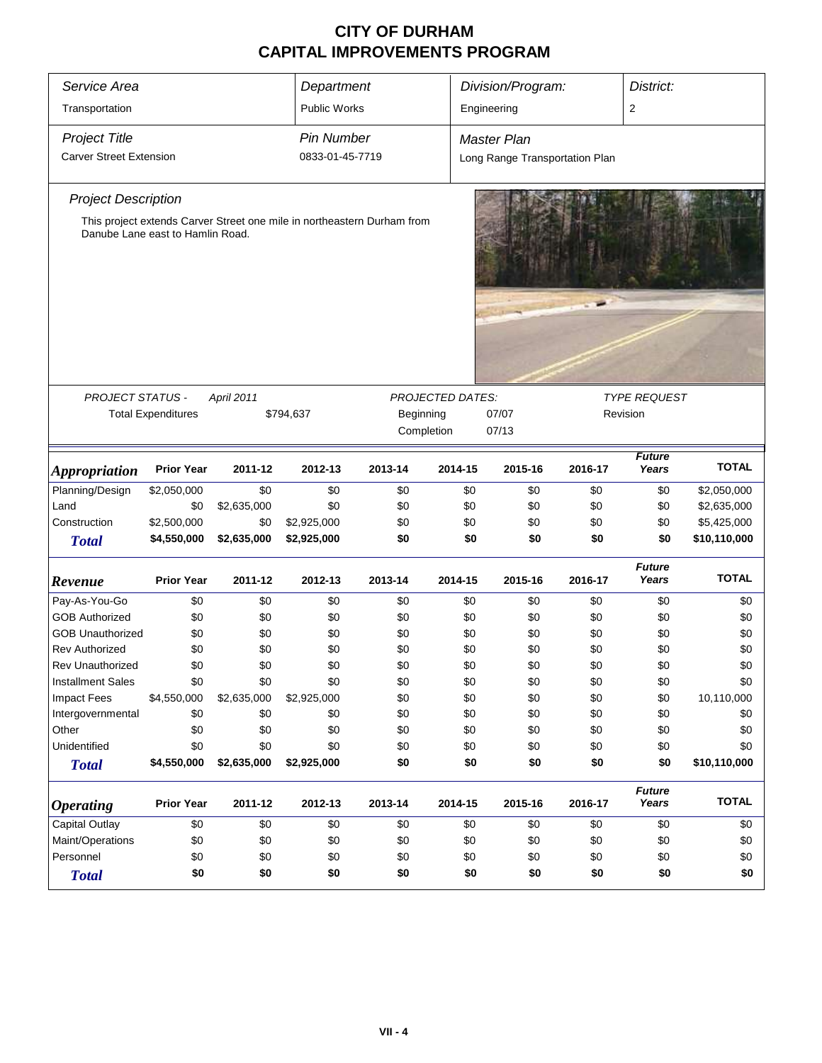| Service Area                                                                                                                              |                                                      |             |                                                                         | Department<br>Division/Program: |         |                                 |         | District:              |              |  |
|-------------------------------------------------------------------------------------------------------------------------------------------|------------------------------------------------------|-------------|-------------------------------------------------------------------------|---------------------------------|---------|---------------------------------|---------|------------------------|--------------|--|
| Transportation                                                                                                                            |                                                      |             | <b>Public Works</b>                                                     |                                 |         | Engineering                     |         | $\overline{2}$         |              |  |
| <b>Project Title</b>                                                                                                                      |                                                      |             | <b>Pin Number</b>                                                       |                                 |         | <b>Master Plan</b>              |         |                        |              |  |
| <b>Carver Street Extension</b>                                                                                                            |                                                      |             | 0833-01-45-7719                                                         |                                 |         | Long Range Transportation Plan  |         |                        |              |  |
| <b>Project Description</b>                                                                                                                |                                                      |             |                                                                         |                                 |         |                                 |         |                        |              |  |
|                                                                                                                                           | Danube Lane east to Hamlin Road.                     |             | This project extends Carver Street one mile in northeastern Durham from |                                 |         |                                 |         |                        |              |  |
|                                                                                                                                           |                                                      |             |                                                                         |                                 |         |                                 |         |                        |              |  |
| PROJECT STATUS -<br>PROJECTED DATES:<br>April 2011<br><b>Total Expenditures</b><br>\$794,637<br>Beginning<br>07/07<br>Completion<br>07/13 |                                                      |             |                                                                         |                                 |         | <b>TYPE REQUEST</b><br>Revision |         |                        |              |  |
| <b>Appropriation</b>                                                                                                                      | <b>Prior Year</b>                                    | 2011-12     | 2012-13                                                                 | 2013-14                         | 2014-15 | 2015-16                         | 2016-17 | <b>Future</b><br>Years | <b>TOTAL</b> |  |
| Planning/Design                                                                                                                           | \$2,050,000                                          | \$0         | \$0                                                                     | \$0                             | \$0     | \$0                             | \$0     | \$0                    | \$2,050,000  |  |
| Land                                                                                                                                      | \$0                                                  | \$2,635,000 | \$0                                                                     | \$0                             | \$0     | \$0                             | \$0     | \$0                    | \$2,635,000  |  |
| Construction                                                                                                                              | \$2,500,000                                          | \$0         | \$2,925,000                                                             | \$0                             | \$0     | \$0                             | \$0     | \$0                    | \$5,425,000  |  |
| <b>Total</b>                                                                                                                              | \$4,550,000                                          | \$2,635,000 | \$2,925,000                                                             | \$0                             | \$0     | \$0                             | \$0     | \$0                    | \$10,110,000 |  |
| Revenue                                                                                                                                   | <b>Prior Year</b>                                    | 2011-12     | 2012-13                                                                 | 2013-14                         | 2014-15 | 2015-16                         | 2016-17 | <b>Future</b><br>Years | <b>TOTAL</b> |  |
| Pay-As-You-Go                                                                                                                             | \$0                                                  | \$0         | \$0                                                                     | \$0                             | \$0     | \$0                             | \$0     | \$0                    | \$0          |  |
| <b>GOB Authorized</b>                                                                                                                     | \$0                                                  | \$0         | \$0                                                                     | \$0                             | \$0     | \$0                             | \$0     | \$0                    | \$0          |  |
| <b>GOB Unauthorized</b>                                                                                                                   | \$0                                                  | \$0         | \$0                                                                     | \$0                             | \$0     | \$0                             | \$0     | \$0                    | \$0          |  |
| <b>Rev Authorized</b>                                                                                                                     | \$0                                                  | \$0         | \$0                                                                     | \$0                             | \$0     | \$0                             | \$0     | \$0                    | \$0          |  |
| <b>Rev Unauthorized</b>                                                                                                                   | \$0                                                  | \$0         | \$0                                                                     | \$0                             | \$0     | \$0                             | \$0     | \$0                    | \$0          |  |
| <b>Installment Sales</b>                                                                                                                  | \$0                                                  | \$0         | \$0                                                                     | \$0                             | \$0     | \$0                             | \$0     | \$0                    | \$0          |  |
| <b>Impact Fees</b>                                                                                                                        | \$4,550,000                                          | \$2,635,000 | \$2,925,000                                                             | \$0                             | \$0     | \$0                             | \$0     | \$0                    | 10,110,000   |  |
| Intergovernmental                                                                                                                         | \$0                                                  | \$0         | \$0                                                                     | \$0                             | \$0     | \$0                             | \$0     | \$0                    | \$0          |  |
| Other                                                                                                                                     | \$0                                                  | \$0         | \$0                                                                     | \$0                             | \$0     | \$0                             | \$0     | \$0                    | \$0          |  |
| Unidentified                                                                                                                              | \$0                                                  | \$0         | \$0                                                                     | \$0                             | \$0     | \$0                             | \$0     | \$0                    | \$0          |  |
| <b>Total</b>                                                                                                                              | \$4,550,000                                          | \$2,635,000 | \$2,925,000                                                             | \$0                             | \$0     | \$0                             | \$0     | \$0                    | \$10,110,000 |  |
| <b>Operating</b>                                                                                                                          | <b>Prior Year</b>                                    | 2011-12     | 2012-13                                                                 | 2013-14                         | 2014-15 | 2015-16                         | 2016-17 | <b>Future</b><br>Years | <b>TOTAL</b> |  |
| Capital Outlay                                                                                                                            | \$0                                                  | \$0         | \$0                                                                     | \$0                             | \$0     | \$0                             | \$0     | \$0                    | \$0          |  |
| Maint/Operations                                                                                                                          | \$0                                                  | \$0         | \$0                                                                     | \$0                             | \$0     | \$0                             | \$0     | \$0                    | \$0          |  |
| Personnel<br>\$0<br>\$0<br>\$0<br>\$0<br>\$0<br>\$0<br>\$0<br>\$0                                                                         |                                                      |             |                                                                         |                                 |         | \$0                             |         |                        |              |  |
| <b>Total</b>                                                                                                                              | \$0<br>\$0<br>\$0<br>\$0<br>\$0<br>\$0<br>\$0<br>\$0 |             |                                                                         |                                 |         |                                 |         |                        | \$0          |  |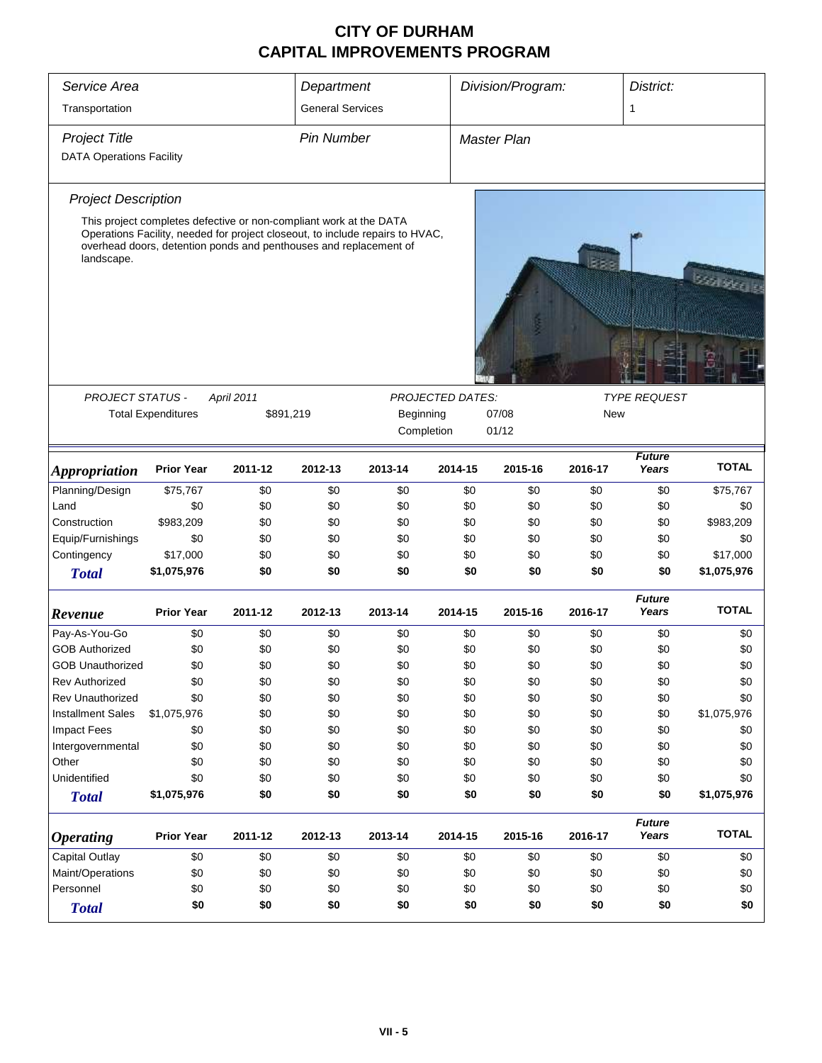| Service Area                    |                                                                                                                                                                                                                          |            | Department              |           |                                       | Division/Program: |         |                        | District:    |  |
|---------------------------------|--------------------------------------------------------------------------------------------------------------------------------------------------------------------------------------------------------------------------|------------|-------------------------|-----------|---------------------------------------|-------------------|---------|------------------------|--------------|--|
| Transportation                  |                                                                                                                                                                                                                          |            | <b>General Services</b> |           |                                       |                   |         | 1                      |              |  |
| <b>Project Title</b>            |                                                                                                                                                                                                                          |            | <b>Pin Number</b>       |           |                                       | Master Plan       |         |                        |              |  |
| <b>DATA Operations Facility</b> |                                                                                                                                                                                                                          |            |                         |           |                                       |                   |         |                        |              |  |
|                                 |                                                                                                                                                                                                                          |            |                         |           |                                       |                   |         |                        |              |  |
| <b>Project Description</b>      |                                                                                                                                                                                                                          |            |                         |           |                                       |                   |         |                        |              |  |
| landscape.                      | This project completes defective or non-compliant work at the DATA<br>Operations Facility, needed for project closeout, to include repairs to HVAC,<br>overhead doors, detention ponds and penthouses and replacement of |            |                         |           |                                       |                   |         |                        | sunder.      |  |
| <b>PROJECT STATUS -</b>         | <b>Total Expenditures</b>                                                                                                                                                                                                | April 2011 | \$891,219               | Beginning | <b>PROJECTED DATES:</b><br>Completion | 07/08<br>01/12    | New     | <b>TYPE REQUEST</b>    |              |  |
| <i><b>Appropriation</b></i>     | <b>Prior Year</b>                                                                                                                                                                                                        | 2011-12    | 2012-13                 | 2013-14   | 2014-15                               | 2015-16           | 2016-17 | <b>Future</b><br>Years | <b>TOTAL</b> |  |
| Planning/Design                 | \$75,767                                                                                                                                                                                                                 | \$0        | \$0                     | \$0       | \$0                                   | \$0               | \$0     | \$0                    | \$75,767     |  |
| Land                            | \$0                                                                                                                                                                                                                      | \$0        | \$0                     | \$0       | \$0                                   | \$0               | \$0     | \$0                    | \$0          |  |
| Construction                    | \$983,209                                                                                                                                                                                                                | \$0        | \$0                     | \$0       | \$0                                   | \$0               | \$0     | \$0                    | \$983,209    |  |
| Equip/Furnishings               | \$0                                                                                                                                                                                                                      | \$0        | \$0                     | \$0       | \$0                                   | \$0               | \$0     | \$0                    | \$0          |  |
| Contingency                     | \$17,000                                                                                                                                                                                                                 | \$0        | \$0                     | \$0       | \$0                                   | \$0               | \$0     | \$0                    | \$17,000     |  |
| <b>Total</b>                    | \$1,075,976                                                                                                                                                                                                              | \$0        | \$0                     | \$0       | \$0                                   | \$0               | \$0     | \$0                    | \$1,075,976  |  |
| Revenue                         | <b>Prior Year</b>                                                                                                                                                                                                        | 2011-12    | 2012-13                 | 2013-14   | 2014-15                               | 2015-16           | 2016-17 | <b>Future</b><br>Years | <b>TOTAL</b> |  |
| Pay-As-You-Go                   | \$0                                                                                                                                                                                                                      | \$0        | \$0                     | \$0       | \$0                                   | \$0               | \$0     | \$0                    | \$0          |  |
| <b>GOB Authorized</b>           | \$0                                                                                                                                                                                                                      | \$0        | \$0                     | \$0       | \$0                                   | \$0               | \$0     | \$0                    | \$0          |  |
| <b>GOB Unauthorized</b>         | \$0                                                                                                                                                                                                                      | \$0        | \$0                     | \$0       | \$0                                   | \$0               | \$0     | \$0                    | \$0          |  |
| <b>Rev Authorized</b>           | \$0                                                                                                                                                                                                                      | \$0        | \$0                     | \$0       | \$0                                   | \$0               | \$0     | \$0                    | \$0          |  |
| Rev Unauthorized                | \$0                                                                                                                                                                                                                      | \$0        | \$0                     | \$0       | \$0                                   | \$0               | \$0     | \$0                    | \$0          |  |
| <b>Installment Sales</b>        | \$1,075,976                                                                                                                                                                                                              | \$0        | \$0                     | \$0       | \$0                                   | \$0               | \$0     | \$0                    | \$1,075,976  |  |
| <b>Impact Fees</b>              | \$0                                                                                                                                                                                                                      | \$0        | \$0                     | \$0       | \$0                                   | \$0               | \$0     | \$0                    | \$0          |  |
| Intergovernmental               | \$0                                                                                                                                                                                                                      | \$0        | \$0                     | \$0       | \$0                                   | \$0               | \$0     | \$0                    | \$0          |  |
| Other                           | \$0                                                                                                                                                                                                                      | \$0        | \$0                     | \$0       | \$0                                   | \$0               | \$0     | \$0                    | \$0          |  |
| Unidentified                    | \$0                                                                                                                                                                                                                      | \$0        | \$0                     | \$0       | \$0                                   | \$0               | \$0     | \$0                    | \$0          |  |
| <b>Total</b>                    | \$1,075,976                                                                                                                                                                                                              | \$0        | \$0                     | \$0       | \$0                                   | \$0               | \$0     | \$0                    | \$1,075,976  |  |
| <i><b>Operating</b></i>         | <b>Prior Year</b>                                                                                                                                                                                                        | 2011-12    | 2012-13                 | 2013-14   | 2014-15                               | 2015-16           | 2016-17 | <b>Future</b><br>Years | <b>TOTAL</b> |  |
| Capital Outlay                  | \$0                                                                                                                                                                                                                      | \$0        | \$0                     | \$0       | \$0                                   | \$0               | \$0     | \$0                    | \$0          |  |
| Maint/Operations                | \$0                                                                                                                                                                                                                      | \$0        | \$0                     | \$0       | \$0                                   | \$0               | \$0     | \$0                    | \$0          |  |
| Personnel                       | \$0                                                                                                                                                                                                                      | \$0        | \$0                     | \$0       | \$0                                   | \$0               | \$0     | \$0                    | \$0          |  |
| <b>Total</b>                    | \$0                                                                                                                                                                                                                      | \$0        | \$0                     | \$0       | \$0                                   | \$0               | \$0     | \$0                    | \$0          |  |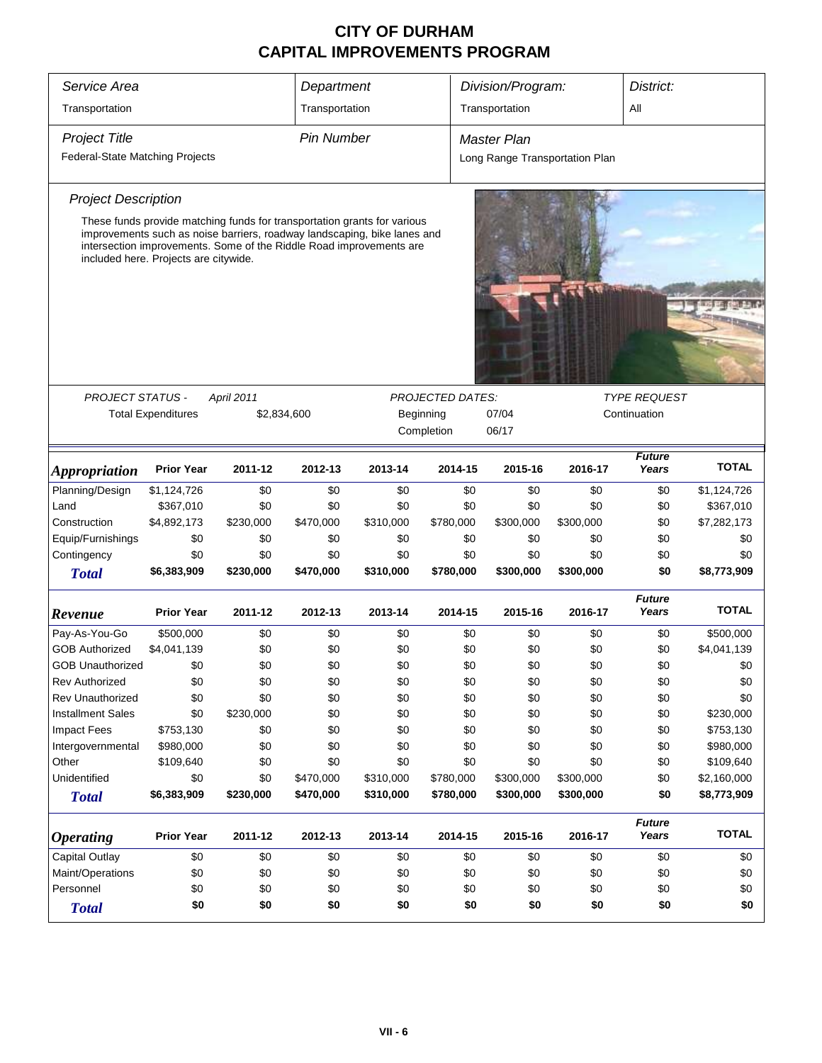| Service Area                    | Department<br>Division/Program:                                                                                                                                                          |             |                   |                                    |                         |                                |           | District:              |              |  |
|---------------------------------|------------------------------------------------------------------------------------------------------------------------------------------------------------------------------------------|-------------|-------------------|------------------------------------|-------------------------|--------------------------------|-----------|------------------------|--------------|--|
|                                 |                                                                                                                                                                                          |             |                   |                                    |                         | Transportation<br>All          |           |                        |              |  |
| Transportation                  |                                                                                                                                                                                          |             | Transportation    |                                    |                         |                                |           |                        |              |  |
| <b>Project Title</b>            |                                                                                                                                                                                          |             | <b>Pin Number</b> |                                    |                         | <b>Master Plan</b>             |           |                        |              |  |
| Federal-State Matching Projects |                                                                                                                                                                                          |             |                   |                                    |                         | Long Range Transportation Plan |           |                        |              |  |
| <b>Project Description</b>      |                                                                                                                                                                                          |             |                   |                                    |                         |                                |           |                        |              |  |
|                                 | These funds provide matching funds for transportation grants for various                                                                                                                 |             |                   |                                    |                         |                                |           |                        |              |  |
|                                 | improvements such as noise barriers, roadway landscaping, bike lanes and<br>intersection improvements. Some of the Riddle Road improvements are<br>included here. Projects are citywide. |             |                   |                                    |                         |                                |           |                        |              |  |
|                                 |                                                                                                                                                                                          |             |                   |                                    |                         |                                |           |                        |              |  |
|                                 |                                                                                                                                                                                          |             |                   |                                    |                         |                                |           |                        |              |  |
|                                 |                                                                                                                                                                                          |             |                   |                                    |                         |                                |           |                        |              |  |
|                                 |                                                                                                                                                                                          |             |                   |                                    |                         |                                |           |                        |              |  |
|                                 |                                                                                                                                                                                          |             |                   |                                    |                         |                                |           |                        |              |  |
| <b>PROJECT STATUS -</b>         |                                                                                                                                                                                          | April 2011  |                   |                                    | <b>PROJECTED DATES:</b> |                                |           | <b>TYPE REQUEST</b>    |              |  |
|                                 | <b>Total Expenditures</b>                                                                                                                                                                | \$2,834,600 |                   | Beginning<br>07/04<br>Continuation |                         |                                |           |                        |              |  |
|                                 |                                                                                                                                                                                          |             |                   |                                    | Completion              | 06/17                          |           |                        |              |  |
| <b>Appropriation</b>            | <b>Prior Year</b>                                                                                                                                                                        | 2011-12     | 2012-13           | 2013-14                            | 2014-15                 | 2015-16                        | 2016-17   | <b>Future</b><br>Years | <b>TOTAL</b> |  |
| Planning/Design                 | \$1,124,726                                                                                                                                                                              | \$0         | \$0               | \$0                                | \$0                     | \$0                            | \$0       | \$0                    | \$1,124,726  |  |
| Land                            | \$367,010                                                                                                                                                                                | \$0         | \$0               | \$0                                | \$0                     | \$0                            | \$0       | \$0                    | \$367,010    |  |
| Construction                    | \$4,892,173                                                                                                                                                                              | \$230,000   | \$470,000         | \$310,000                          | \$780,000               | \$300,000                      | \$300,000 | \$0                    | \$7,282,173  |  |
| Equip/Furnishings               | \$0                                                                                                                                                                                      | \$0         | \$0               | \$0                                | \$0                     | \$0                            | \$0       | \$0                    | \$0          |  |
| Contingency                     | \$0                                                                                                                                                                                      | \$0         | \$0               | \$0                                | \$0                     | \$0                            | \$0       | \$0                    | \$0          |  |
| <b>Total</b>                    | \$6,383,909                                                                                                                                                                              | \$230,000   | \$470,000         | \$310,000                          | \$780,000               | \$300,000                      | \$300,000 | \$0                    | \$8,773,909  |  |
| Revenue                         | <b>Prior Year</b>                                                                                                                                                                        | 2011-12     | 2012-13           | 2013-14                            | 2014-15                 | 2015-16                        | 2016-17   | <b>Future</b><br>Years | <b>TOTAL</b> |  |
| Pay-As-You-Go                   | \$500,000                                                                                                                                                                                | \$0         | \$0               | \$0                                | \$0                     | \$0                            | \$0       | \$0                    | \$500,000    |  |
| <b>GOB Authorized</b>           | \$4,041,139                                                                                                                                                                              | \$0         | \$0               | \$0                                | \$0                     | \$0                            | \$0       | \$0                    | \$4,041,139  |  |
| <b>GOB Unauthorized</b>         | \$0                                                                                                                                                                                      | \$0         | \$0               | \$0                                | \$0                     | \$0                            | \$0       | \$0                    | \$0          |  |
| <b>Rev Authorized</b>           | \$0                                                                                                                                                                                      | \$0         | \$0               | \$0                                | \$0                     | \$0                            | \$0       | \$0                    | \$0          |  |
| Rev Unauthorized                | \$0                                                                                                                                                                                      | \$0         | \$0               | \$0                                | \$0                     | \$0                            | \$0       | \$0                    | \$0          |  |
| <b>Installment Sales</b>        | \$0                                                                                                                                                                                      | \$230,000   | \$0               | \$0                                | \$0                     | \$0                            | \$0       | \$0                    | \$230,000    |  |
| <b>Impact Fees</b>              | \$753,130                                                                                                                                                                                | \$0         | \$0               | \$0                                | \$0                     | \$0                            | \$0       | \$0                    | \$753,130    |  |
| Intergovernmental               | \$980,000                                                                                                                                                                                | \$0         | \$0               | \$0                                | \$0                     | \$0                            | \$0       | \$0                    | \$980,000    |  |
| Other                           | \$109,640                                                                                                                                                                                | \$0         | \$0               | \$0                                | \$0                     | \$0                            | \$0       | \$0                    | \$109,640    |  |
| Unidentified                    | \$0                                                                                                                                                                                      | \$0         | \$470,000         | \$310,000                          | \$780,000               | \$300,000                      | \$300,000 | \$0                    | \$2,160,000  |  |
| <b>Total</b>                    | \$6,383,909                                                                                                                                                                              | \$230,000   | \$470,000         | \$310,000                          | \$780,000               | \$300,000                      | \$300,000 | \$0                    | \$8,773,909  |  |
| <b>Operating</b>                | <b>Prior Year</b>                                                                                                                                                                        | 2011-12     | 2012-13           | 2013-14                            | 2014-15                 | 2015-16                        | 2016-17   | <b>Future</b><br>Years | <b>TOTAL</b> |  |
| Capital Outlay                  | \$0                                                                                                                                                                                      | \$0         | \$0               | \$0                                | \$0                     | \$0                            | \$0       | \$0                    | \$0          |  |
| Maint/Operations                | \$0                                                                                                                                                                                      | \$0         | \$0               | \$0                                | \$0                     | \$0                            | \$0       | \$0                    | \$0          |  |
| Personnel                       | \$0                                                                                                                                                                                      | \$0         | \$0               | \$0                                | \$0                     | \$0                            | \$0       | \$0                    | \$0          |  |
| <b>Total</b>                    | \$0                                                                                                                                                                                      | \$0         | \$0               | \$0                                | \$0                     | \$0                            | \$0       | \$0                    | \$0          |  |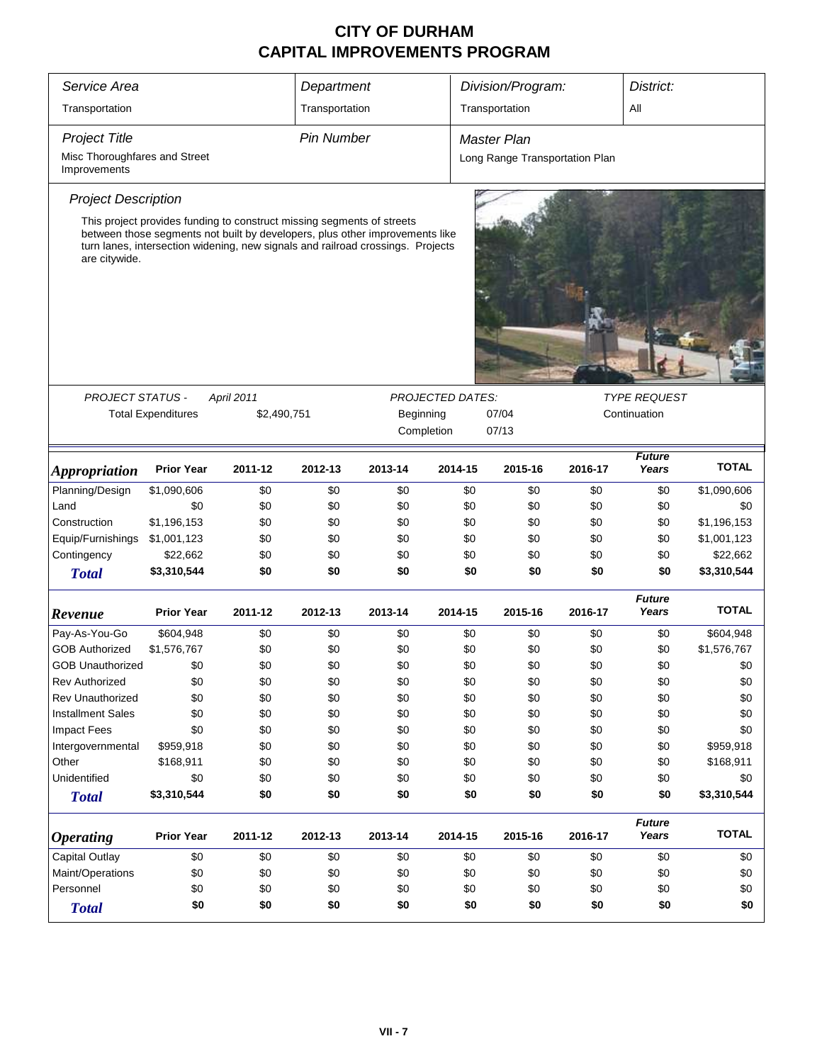| Service Area                                  |                                                                                                                                                                                                                                           |            | Department        |         |                         |     | Division/Program:              |         | District:              |              |
|-----------------------------------------------|-------------------------------------------------------------------------------------------------------------------------------------------------------------------------------------------------------------------------------------------|------------|-------------------|---------|-------------------------|-----|--------------------------------|---------|------------------------|--------------|
| Transportation                                |                                                                                                                                                                                                                                           |            | Transportation    |         |                         |     | Transportation                 |         | ΑIΙ                    |              |
| <b>Project Title</b>                          |                                                                                                                                                                                                                                           |            | <b>Pin Number</b> |         |                         |     | Master Plan                    |         |                        |              |
| Misc Thoroughfares and Street<br>Improvements |                                                                                                                                                                                                                                           |            |                   |         |                         |     | Long Range Transportation Plan |         |                        |              |
| <b>Project Description</b>                    |                                                                                                                                                                                                                                           |            |                   |         |                         |     |                                |         |                        |              |
| are citywide.                                 | This project provides funding to construct missing segments of streets<br>between those segments not built by developers, plus other improvements like<br>turn lanes, intersection widening, new signals and railroad crossings. Projects |            |                   |         |                         |     |                                |         |                        |              |
|                                               |                                                                                                                                                                                                                                           |            |                   |         |                         |     |                                |         |                        |              |
| <b>PROJECT STATUS -</b>                       |                                                                                                                                                                                                                                           | April 2011 |                   |         | <b>PROJECTED DATES:</b> |     |                                |         | <b>TYPE REQUEST</b>    |              |
|                                               | <b>Total Expenditures</b><br>\$2,490,751<br>Beginning                                                                                                                                                                                     |            |                   |         |                         |     | 07/04                          |         | Continuation           |              |
|                                               |                                                                                                                                                                                                                                           |            |                   |         | Completion              |     | 07/13                          |         |                        |              |
| <i><b>Appropriation</b></i>                   | <b>Prior Year</b>                                                                                                                                                                                                                         | 2011-12    | 2012-13           | 2013-14 | 2014-15                 |     | 2015-16                        | 2016-17 | <b>Future</b><br>Years | <b>TOTAL</b> |
| Planning/Design                               | \$1,090,606                                                                                                                                                                                                                               | \$0        | \$0               | \$0     |                         | \$0 | \$0                            | \$0     | \$0                    | \$1,090,606  |
| Land                                          | \$0                                                                                                                                                                                                                                       | \$0        | \$0               | \$0     |                         | \$0 | \$0                            | \$0     | \$0                    | \$0          |
| Construction                                  | \$1,196,153                                                                                                                                                                                                                               | \$0        | \$0               | \$0     |                         | \$0 | \$0                            | \$0     | \$0                    | \$1,196,153  |
| Equip/Furnishings                             | \$1,001,123                                                                                                                                                                                                                               | \$0        | \$0               | \$0     |                         | \$0 | \$0                            | \$0     | \$0                    | \$1,001,123  |
| Contingency                                   | \$22,662                                                                                                                                                                                                                                  | \$0        | \$0               | \$0     |                         | \$0 | \$0                            | \$0     | \$0                    | \$22,662     |
| <b>Total</b>                                  | \$3,310,544                                                                                                                                                                                                                               | \$0        | \$0               | \$0     |                         | \$0 | \$0                            | \$0     | \$0                    | \$3,310,544  |
| Revenue                                       | <b>Prior Year</b>                                                                                                                                                                                                                         | 2011-12    | 2012-13           | 2013-14 | 2014-15                 |     | 2015-16                        | 2016-17 | <b>Future</b><br>Years | <b>TOTAL</b> |
| Pay-As-You-Go                                 | \$604,948                                                                                                                                                                                                                                 | \$0        | \$0               | \$0     |                         | \$0 | \$0                            | \$0     | \$0                    | \$604,948    |
| <b>GOB Authorized</b>                         | \$1,576,767                                                                                                                                                                                                                               | \$0        | \$0               | \$0     |                         | \$0 | \$0                            | \$0     | \$0                    | \$1,576,767  |
| <b>GOB Unauthorized</b>                       | \$0                                                                                                                                                                                                                                       | \$0        | \$0               | \$0     |                         | \$0 | \$0                            | \$0     | \$0                    | \$0          |
| <b>Rev Authorized</b>                         | \$0                                                                                                                                                                                                                                       | \$0        | \$0               | \$0     |                         | \$0 | \$0                            | \$0     | \$0                    | \$0          |
| <b>Rev Unauthorized</b>                       | \$0                                                                                                                                                                                                                                       | \$0        | \$0               | \$0     |                         | \$0 | \$0                            | \$0     | \$0                    | \$0          |
| <b>Installment Sales</b>                      | \$0                                                                                                                                                                                                                                       | \$0        | \$0               | \$0     |                         | \$0 | \$0                            | \$0     | \$0                    | \$0          |
| <b>Impact Fees</b>                            | \$0                                                                                                                                                                                                                                       | \$0        | \$0               | \$0     |                         | \$0 | \$0                            | \$0     | \$0                    | \$0          |
| Intergovernmental                             | \$959,918                                                                                                                                                                                                                                 | \$0        | \$0               | \$0     |                         | \$0 | \$0                            | \$0     | \$0                    | \$959,918    |
| Other                                         | \$168,911                                                                                                                                                                                                                                 | \$0        | \$0               | \$0     |                         | \$0 | \$0                            | \$0     | \$0                    | \$168,911    |
| Unidentified                                  | \$0                                                                                                                                                                                                                                       | \$0        | \$0               | \$0     |                         | \$0 | \$0                            | \$0     | \$0                    | \$0          |
| <b>Total</b>                                  | \$3,310,544                                                                                                                                                                                                                               | \$0        | \$0               | \$0     |                         | \$0 | \$0                            | \$0     | \$0                    | \$3,310,544  |
| <b>Operating</b>                              | <b>Prior Year</b>                                                                                                                                                                                                                         | 2011-12    | 2012-13           | 2013-14 | 2014-15                 |     | 2015-16                        | 2016-17 | <b>Future</b><br>Years | <b>TOTAL</b> |
| <b>Capital Outlay</b>                         | \$0                                                                                                                                                                                                                                       | \$0        | \$0               | \$0     |                         | \$0 | \$0                            | \$0     | \$0                    | \$0          |
| Maint/Operations                              | \$0                                                                                                                                                                                                                                       | \$0        | \$0               | \$0     |                         | \$0 | \$0                            | \$0     | \$0                    | \$0          |
| Personnel                                     | \$0                                                                                                                                                                                                                                       | \$0        | \$0               | \$0     |                         | \$0 | \$0                            | \$0     | \$0                    | \$0          |
| <b>Total</b>                                  | \$0                                                                                                                                                                                                                                       | \$0        | \$0               | \$0     |                         | \$0 | \$0                            | \$0     | \$0                    | \$0          |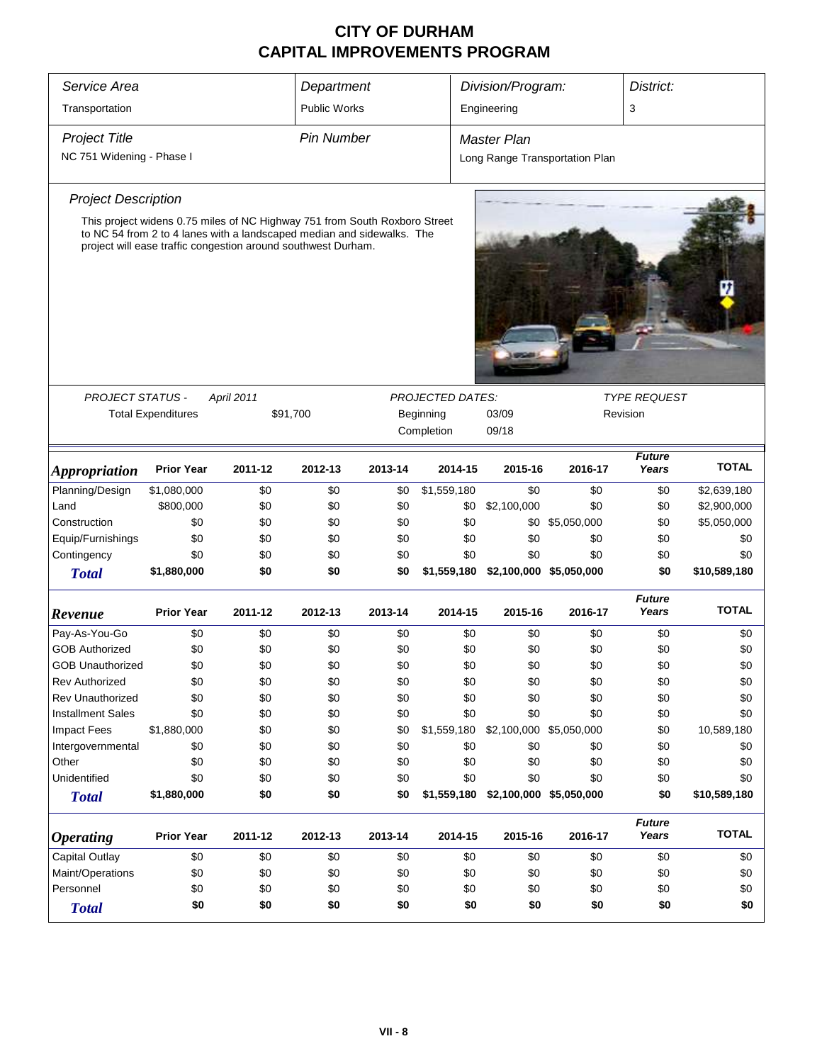| Service Area                |                                                                                                                                                                                                                       |            | Department          |         |                         | Division/Program:       |                                | District:              |              |
|-----------------------------|-----------------------------------------------------------------------------------------------------------------------------------------------------------------------------------------------------------------------|------------|---------------------|---------|-------------------------|-------------------------|--------------------------------|------------------------|--------------|
| Transportation              |                                                                                                                                                                                                                       |            | <b>Public Works</b> |         |                         | Engineering             |                                | 3                      |              |
| <b>Project Title</b>        |                                                                                                                                                                                                                       |            | Pin Number          |         |                         | Master Plan             |                                |                        |              |
| NC 751 Widening - Phase I   |                                                                                                                                                                                                                       |            |                     |         |                         |                         | Long Range Transportation Plan |                        |              |
| <b>Project Description</b>  |                                                                                                                                                                                                                       |            |                     |         |                         |                         |                                |                        |              |
|                             | This project widens 0.75 miles of NC Highway 751 from South Roxboro Street<br>to NC 54 from 2 to 4 lanes with a landscaped median and sidewalks. The<br>project will ease traffic congestion around southwest Durham. |            |                     |         |                         |                         |                                |                        |              |
|                             |                                                                                                                                                                                                                       |            |                     |         |                         |                         |                                |                        |              |
| PROJECT STATUS -            |                                                                                                                                                                                                                       | April 2011 |                     |         | <b>PROJECTED DATES:</b> |                         |                                | <b>TYPE REQUEST</b>    |              |
|                             | <b>Total Expenditures</b>                                                                                                                                                                                             |            | \$91,700            |         | Beginning<br>Completion | 03/09<br>09/18          | Revision                       |                        |              |
| <i><b>Appropriation</b></i> | <b>Prior Year</b>                                                                                                                                                                                                     | 2011-12    | 2012-13             | 2013-14 | 2014-15                 | 2015-16                 | 2016-17                        | <b>Future</b><br>Years | <b>TOTAL</b> |
| Planning/Design             | \$1,080,000                                                                                                                                                                                                           | \$0        | \$0                 | \$0     | \$1,559,180             | \$0                     | \$0                            | \$0                    | \$2,639,180  |
| Land                        | \$800,000                                                                                                                                                                                                             | \$0        | \$0                 | \$0     | \$0                     | \$2,100,000             | \$0                            | \$0                    | \$2,900,000  |
| Construction                | \$0                                                                                                                                                                                                                   | \$0        | \$0                 | \$0     | \$0                     |                         | \$0 \$5,050,000                | \$0                    | \$5,050,000  |
| Equip/Furnishings           | \$0                                                                                                                                                                                                                   | \$0        | \$0                 | \$0     | \$0                     | \$0                     | \$0                            | \$0                    | \$0          |
| Contingency                 | \$0                                                                                                                                                                                                                   | \$0        | \$0                 | \$0     | \$0                     | \$0                     | \$0                            | \$0                    | \$0          |
| <b>Total</b>                | \$1,880,000                                                                                                                                                                                                           | \$0        | \$0                 | \$0     | \$1,559,180             | \$2,100,000 \$5,050,000 |                                | \$0                    | \$10,589,180 |
| Revenue                     | <b>Prior Year</b>                                                                                                                                                                                                     | 2011-12    | 2012-13             | 2013-14 | 2014-15                 | 2015-16                 | 2016-17                        | <b>Future</b><br>Years | <b>TOTAL</b> |
| Pay-As-You-Go               | \$0                                                                                                                                                                                                                   | \$0        | \$0                 | \$0     | \$0                     | \$0                     | \$0                            | \$0                    | \$0          |
| <b>GOB Authorized</b>       | \$0                                                                                                                                                                                                                   | \$0        | \$0                 | \$0     | \$0                     | \$0                     | \$0                            | \$0                    | \$0          |
| <b>GOB Unauthorized</b>     | \$0                                                                                                                                                                                                                   | \$0        | \$0                 | \$0     | \$0                     | \$0                     | \$0                            | \$0                    | \$0          |
| <b>Rev Authorized</b>       | \$0                                                                                                                                                                                                                   | \$0        | \$0                 | \$0     | \$0                     | \$0                     | \$0                            | \$0                    | \$0          |
| Rev Unauthorized            | \$0                                                                                                                                                                                                                   | \$0        | \$0                 | \$0     | \$0                     | \$0                     | \$0                            | \$0                    | \$0          |
| <b>Installment Sales</b>    | \$0                                                                                                                                                                                                                   | \$0        | \$0                 | \$0     | \$0                     | \$0                     | \$0                            | \$0                    | \$0          |
| <b>Impact Fees</b>          | \$1,880,000                                                                                                                                                                                                           | \$0        | \$0                 | \$0     | \$1,559,180             | \$2,100,000 \$5,050,000 |                                | \$0                    | 10,589,180   |
| Intergovernmental           | \$0                                                                                                                                                                                                                   | \$0        | \$0                 | \$0     | \$0                     | \$0                     | \$0                            | \$0                    | \$0          |
| Other                       | \$0                                                                                                                                                                                                                   | \$0        | \$0                 | \$0     | \$0                     | \$0                     | \$0                            | \$0                    | \$0          |
| Unidentified                | \$0                                                                                                                                                                                                                   | \$0        | \$0                 | \$0     | \$0                     | \$0                     | \$0                            | \$0                    | \$0          |
| <b>Total</b>                | \$1,880,000                                                                                                                                                                                                           | \$0        | \$0                 | \$0     | \$1,559,180             | \$2,100,000 \$5,050,000 |                                | \$0                    | \$10,589,180 |
| <b>Operating</b>            | <b>Prior Year</b>                                                                                                                                                                                                     | 2011-12    | 2012-13             | 2013-14 | 2014-15                 | 2015-16                 | 2016-17                        | <b>Future</b><br>Years | <b>TOTAL</b> |
| Capital Outlay              | \$0                                                                                                                                                                                                                   | \$0        | \$0                 | \$0     | \$0                     | \$0                     | \$0                            | \$0                    | \$0          |
| Maint/Operations            | \$0                                                                                                                                                                                                                   | \$0        | \$0                 | \$0     | \$0                     | \$0                     | \$0                            | \$0                    | \$0          |
| Personnel                   | \$0                                                                                                                                                                                                                   | \$0        | \$0                 | \$0     | \$0                     | \$0                     | \$0                            | \$0                    | \$0          |
| <b>Total</b>                | \$0                                                                                                                                                                                                                   | \$0        | \$0                 | \$0     | \$0                     | \$0                     | \$0                            | \$0                    | \$0          |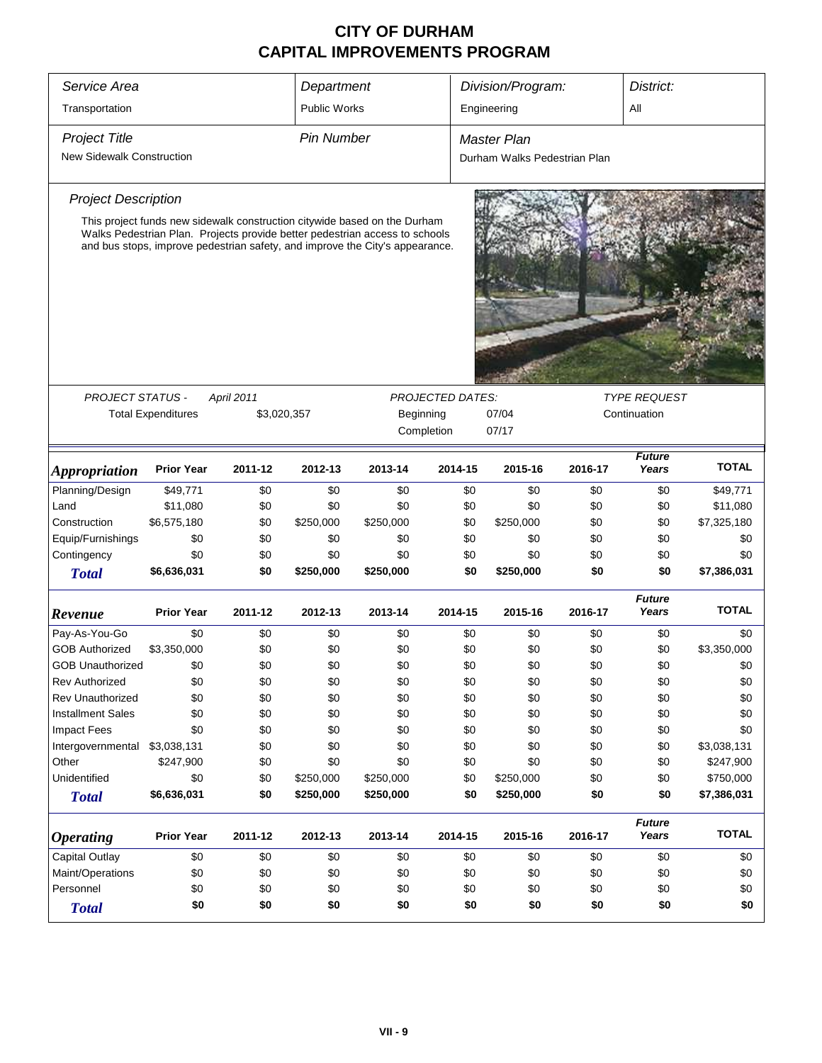| Service Area                     |                           |             | Department          | Division/Program:                                                                                                                                                                                                                        |         |                              |         | District:              |              |
|----------------------------------|---------------------------|-------------|---------------------|------------------------------------------------------------------------------------------------------------------------------------------------------------------------------------------------------------------------------------------|---------|------------------------------|---------|------------------------|--------------|
| Transportation                   |                           |             | <b>Public Works</b> |                                                                                                                                                                                                                                          |         | Engineering                  |         | All                    |              |
| <b>Project Title</b>             |                           |             | <b>Pin Number</b>   |                                                                                                                                                                                                                                          |         | <b>Master Plan</b>           |         |                        |              |
| <b>New Sidewalk Construction</b> |                           |             |                     |                                                                                                                                                                                                                                          |         | Durham Walks Pedestrian Plan |         |                        |              |
| <b>Project Description</b>       |                           |             |                     |                                                                                                                                                                                                                                          |         |                              |         |                        |              |
|                                  |                           |             |                     | This project funds new sidewalk construction citywide based on the Durham<br>Walks Pedestrian Plan. Projects provide better pedestrian access to schools<br>and bus stops, improve pedestrian safety, and improve the City's appearance. |         |                              |         |                        |              |
|                                  |                           |             |                     |                                                                                                                                                                                                                                          |         |                              |         |                        |              |
| PROJECT STATUS -                 |                           | April 2011  |                     |                                                                                                                                                                                                                                          |         |                              |         | <b>TYPE REQUEST</b>    |              |
|                                  | <b>Total Expenditures</b> | \$3,020,357 |                     | <b>PROJECTED DATES:</b><br>07/04<br>Continuation<br>Beginning<br>Completion<br>07/17                                                                                                                                                     |         |                              |         |                        |              |
| <b>Appropriation</b>             | <b>Prior Year</b>         | 2011-12     | 2012-13             | 2013-14                                                                                                                                                                                                                                  | 2014-15 | 2015-16                      | 2016-17 | <b>Future</b><br>Years | <b>TOTAL</b> |
| Planning/Design                  | \$49,771                  | \$0         | \$0                 | \$0                                                                                                                                                                                                                                      | \$0     | \$0                          | \$0     | \$0                    | \$49,771     |
| Land                             | \$11,080                  | \$0         | \$0                 | \$0                                                                                                                                                                                                                                      | \$0     | \$0                          | \$0     | \$0                    | \$11,080     |
| Construction                     | \$6,575,180               | \$0         | \$250,000           | \$250,000                                                                                                                                                                                                                                | \$0     | \$250,000                    | \$0     | \$0                    | \$7,325,180  |
| Equip/Furnishings                | \$0                       | \$0         | \$0                 | \$0                                                                                                                                                                                                                                      | \$0     | \$0                          | \$0     | \$0                    | \$0          |
| Contingency                      | \$0                       | \$0         | \$0                 | \$0                                                                                                                                                                                                                                      | \$0     | \$0                          | \$0     | \$0                    | \$0          |
| <b>Total</b>                     | \$6,636,031               | \$0         | \$250,000           | \$250,000                                                                                                                                                                                                                                | \$0     | \$250,000                    | \$0     | \$0                    | \$7,386,031  |
| Revenue                          | <b>Prior Year</b>         | 2011-12     | 2012-13             | 2013-14                                                                                                                                                                                                                                  | 2014-15 | 2015-16                      | 2016-17 | <b>Future</b><br>Years | <b>TOTAL</b> |
| Pay-As-You-Go                    | \$0                       | \$0         | \$0                 | \$0                                                                                                                                                                                                                                      | \$0     | \$0                          | \$0     | \$0                    | \$0          |
| <b>GOB Authorized</b>            | \$3,350,000               | \$0         | \$0                 | \$0                                                                                                                                                                                                                                      | \$0     | \$0                          | \$0     | \$0                    | \$3,350,000  |
| <b>GOB Unauthorized</b>          | \$0                       | \$0         | \$0                 | \$0                                                                                                                                                                                                                                      | \$0     | \$0                          | \$0     | \$0                    | \$0          |
| <b>Rev Authorized</b>            | \$0                       | \$0         | \$0                 | \$0                                                                                                                                                                                                                                      | \$0     | \$0                          | \$0     | \$0                    | \$0          |
| <b>Rev Unauthorized</b>          | \$0                       | \$0         | \$0                 | \$0                                                                                                                                                                                                                                      | \$0     | \$0                          | \$0     | \$0                    | \$0          |
| <b>Installment Sales</b>         | \$0                       | \$0         | \$0                 | \$0                                                                                                                                                                                                                                      | \$0     | \$0                          | \$0     | \$0                    | \$0          |
| <b>Impact Fees</b>               | \$0                       | \$0         | \$0                 | \$0                                                                                                                                                                                                                                      | \$0     | \$0                          | \$0     | \$0                    | \$0          |
| Intergovernmental                | \$3,038,131               | \$0         | \$0                 | \$0                                                                                                                                                                                                                                      | \$0     | \$0                          | \$0     | \$0                    | \$3,038,131  |
| Other                            | \$247,900                 | \$0         | \$0                 | \$0                                                                                                                                                                                                                                      | \$0     | \$0                          | \$0     | \$0                    | \$247,900    |
| Unidentified                     | \$0                       | \$0         | \$250,000           | \$250,000                                                                                                                                                                                                                                | \$0     | \$250,000                    | \$0     | \$0                    | \$750,000    |
| <b>Total</b>                     | \$6,636,031               | \$0         | \$250,000           | \$250,000                                                                                                                                                                                                                                | \$0     | \$250,000                    | \$0     | \$0                    | \$7,386,031  |
| <b>Operating</b>                 | <b>Prior Year</b>         | 2011-12     | 2012-13             | 2013-14                                                                                                                                                                                                                                  | 2014-15 | 2015-16                      | 2016-17 | <b>Future</b><br>Years | <b>TOTAL</b> |
| <b>Capital Outlay</b>            | \$0                       | \$0         | \$0                 | \$0                                                                                                                                                                                                                                      | \$0     | \$0                          | \$0     | \$0                    | \$0          |
| Maint/Operations                 | \$0                       | \$0         | \$0                 | \$0                                                                                                                                                                                                                                      | \$0     | \$0                          | \$0     | \$0                    | \$0          |
| Personnel                        | \$0                       | \$0         | \$0                 | \$0                                                                                                                                                                                                                                      | \$0     | \$0                          | \$0     | \$0                    | \$0          |
| <b>Total</b>                     | \$0                       | \$0         | \$0                 | \$0                                                                                                                                                                                                                                      | \$0     | \$0                          | \$0     | \$0                    | \$0          |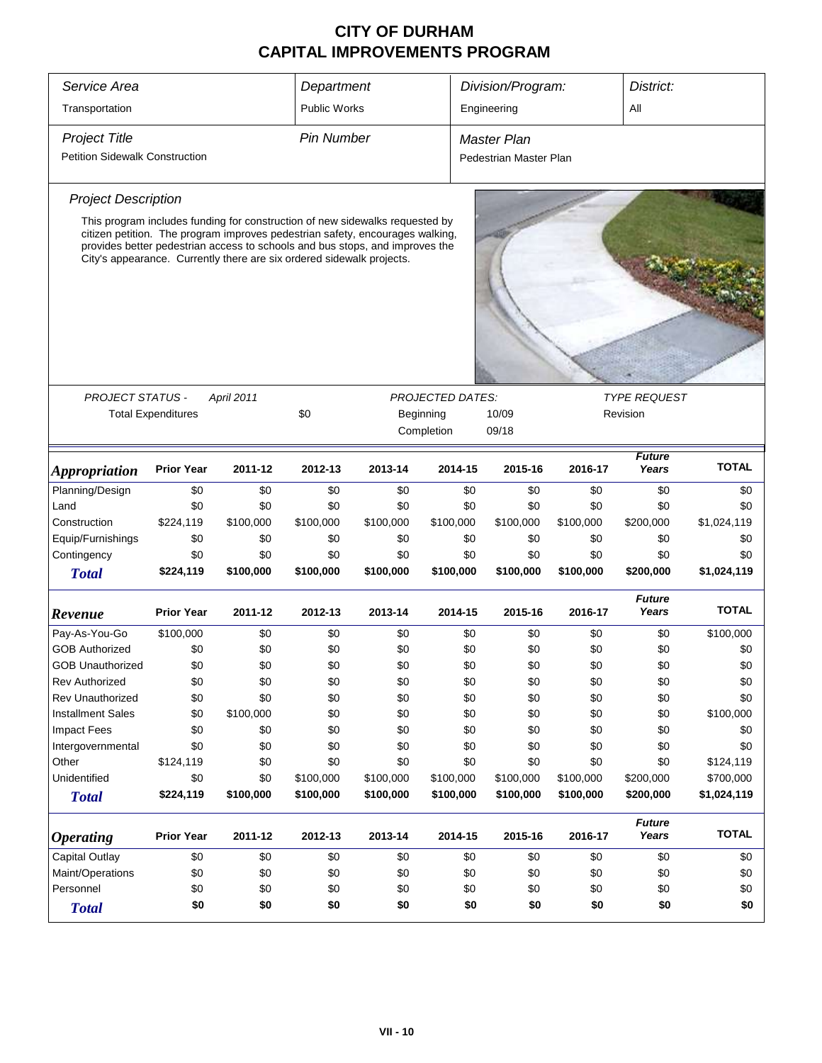| Service Area                                                         |                           |                                                                                                                                                                                                                                                                                                                        | Department          |           |                         | Division/Program:      |           | District:              |              |
|----------------------------------------------------------------------|---------------------------|------------------------------------------------------------------------------------------------------------------------------------------------------------------------------------------------------------------------------------------------------------------------------------------------------------------------|---------------------|-----------|-------------------------|------------------------|-----------|------------------------|--------------|
| Transportation                                                       |                           |                                                                                                                                                                                                                                                                                                                        | <b>Public Works</b> |           |                         | Engineering            |           | All                    |              |
|                                                                      |                           |                                                                                                                                                                                                                                                                                                                        |                     |           |                         |                        |           |                        |              |
| <b>Project Title</b>                                                 |                           |                                                                                                                                                                                                                                                                                                                        | <b>Pin Number</b>   |           |                         | <b>Master Plan</b>     |           |                        |              |
| <b>Petition Sidewalk Construction</b>                                |                           |                                                                                                                                                                                                                                                                                                                        |                     |           |                         | Pedestrian Master Plan |           |                        |              |
| <b>Project Description</b>                                           |                           |                                                                                                                                                                                                                                                                                                                        |                     |           |                         |                        |           |                        |              |
|                                                                      |                           | This program includes funding for construction of new sidewalks requested by<br>citizen petition. The program improves pedestrian safety, encourages walking,<br>provides better pedestrian access to schools and bus stops, and improves the<br>City's appearance. Currently there are six ordered sidewalk projects. |                     |           |                         |                        |           |                        |              |
|                                                                      |                           |                                                                                                                                                                                                                                                                                                                        |                     |           |                         |                        |           |                        |              |
| <b>PROJECT STATUS -</b>                                              |                           | April 2011                                                                                                                                                                                                                                                                                                             |                     |           | <b>PROJECTED DATES:</b> |                        |           | <b>TYPE REQUEST</b>    |              |
|                                                                      | <b>Total Expenditures</b> |                                                                                                                                                                                                                                                                                                                        | \$0                 |           | Beginning               | 10/09                  |           | Revision               |              |
|                                                                      |                           |                                                                                                                                                                                                                                                                                                                        |                     |           | Completion              | 09/18                  |           |                        |              |
| <i><b>Appropriation</b></i>                                          | <b>Prior Year</b>         | 2011-12                                                                                                                                                                                                                                                                                                                | 2012-13             | 2013-14   | 2014-15                 | 2015-16                | 2016-17   | <b>Future</b><br>Years | <b>TOTAL</b> |
| Planning/Design                                                      | \$0                       | \$0                                                                                                                                                                                                                                                                                                                    | \$0                 | \$0       | \$0                     | \$0                    | \$0       | \$0                    | \$0          |
| Land                                                                 | \$0                       | \$0                                                                                                                                                                                                                                                                                                                    | \$0                 | \$0       | \$0                     | \$0                    | \$0       | \$0                    | \$0          |
| Construction                                                         | \$224,119                 | \$100,000                                                                                                                                                                                                                                                                                                              | \$100,000           | \$100,000 | \$100,000               | \$100,000              | \$100,000 | \$200,000              | \$1,024,119  |
| Equip/Furnishings                                                    | \$0                       | \$0                                                                                                                                                                                                                                                                                                                    | \$0                 | \$0       | \$0                     | \$0                    | \$0       | \$0                    | \$0          |
| Contingency                                                          | \$0                       | \$0                                                                                                                                                                                                                                                                                                                    | \$0                 | \$0       | \$0                     | \$0                    | \$0       | \$0                    | \$0          |
| <b>Total</b>                                                         | \$224,119                 | \$100,000                                                                                                                                                                                                                                                                                                              | \$100,000           | \$100,000 | \$100,000               | \$100,000              | \$100,000 | \$200,000              | \$1,024,119  |
| Revenue                                                              | <b>Prior Year</b>         | 2011-12                                                                                                                                                                                                                                                                                                                | 2012-13             | 2013-14   | 2014-15                 | 2015-16                | 2016-17   | <b>Future</b><br>Years | <b>TOTAL</b> |
| Pay-As-You-Go                                                        | \$100,000                 | \$0                                                                                                                                                                                                                                                                                                                    | \$0                 | \$0       | \$0                     | \$0                    | \$0       | \$0                    | \$100,000    |
| <b>GOB Authorized</b>                                                | \$0                       | \$0                                                                                                                                                                                                                                                                                                                    | \$0                 | \$0       | \$0                     | \$0                    | \$0       | \$0                    | \$0          |
| <b>GOB Unauthorized</b>                                              | \$0                       | \$0                                                                                                                                                                                                                                                                                                                    | \$0                 | \$0       | \$0                     | \$0                    | \$0       | \$0                    | \$0          |
| <b>Rev Authorized</b>                                                | \$0                       | \$0                                                                                                                                                                                                                                                                                                                    | \$0                 | \$0       | \$0                     | \$0                    | \$0       | \$0                    | \$0          |
| Rev Unauthorized                                                     | \$0                       | \$0                                                                                                                                                                                                                                                                                                                    | \$0                 | \$0       | \$0                     | \$0                    | \$0       | \$0                    | \$0          |
| <b>Installment Sales</b>                                             | \$0                       | \$100,000                                                                                                                                                                                                                                                                                                              | \$0                 | \$0       | \$0                     | \$0                    | \$0       | \$0                    | \$100,000    |
| <b>Impact Fees</b>                                                   | \$0                       | \$0                                                                                                                                                                                                                                                                                                                    | \$0                 | \$0       | \$0                     | \$0                    | \$0       | \$0                    | \$0          |
| Intergovernmental                                                    | \$0                       | \$0                                                                                                                                                                                                                                                                                                                    | \$0                 | \$0       | \$0                     | \$0                    | \$0       | \$0                    | \$0          |
| Other                                                                | \$124,119                 | \$0                                                                                                                                                                                                                                                                                                                    | \$0                 | \$0       | \$0                     | \$0                    | \$0       | \$0                    | \$124,119    |
| Unidentified                                                         | \$0                       | \$0                                                                                                                                                                                                                                                                                                                    | \$100,000           | \$100,000 | \$100,000               | \$100,000              | \$100,000 | \$200,000              | \$700,000    |
| <b>Total</b>                                                         | \$224,119                 | \$100,000                                                                                                                                                                                                                                                                                                              | \$100,000           | \$100,000 | \$100,000               | \$100,000              | \$100,000 | \$200,000              | \$1,024,119  |
| <b>Operating</b>                                                     | <b>Prior Year</b>         | 2011-12                                                                                                                                                                                                                                                                                                                | 2012-13             | 2013-14   | 2014-15                 | 2015-16                | 2016-17   | <b>Future</b><br>Years | <b>TOTAL</b> |
| <b>Capital Outlay</b>                                                | \$0                       | \$0                                                                                                                                                                                                                                                                                                                    | \$0                 | \$0       | \$0                     | \$0                    | \$0       | \$0                    | \$0          |
| Maint/Operations                                                     | \$0                       | \$0                                                                                                                                                                                                                                                                                                                    | \$0                 | \$0       | \$0                     | \$0                    | \$0       | \$0                    | \$0          |
| Personnel                                                            | \$0                       | \$0                                                                                                                                                                                                                                                                                                                    | \$0                 | \$0       |                         | \$0                    | \$0       | \$0                    | \$0          |
| \$0<br>\$0<br>\$0<br>\$0<br>\$0<br>\$0<br>\$0<br>\$0<br><b>Total</b> |                           |                                                                                                                                                                                                                                                                                                                        |                     |           |                         |                        |           | \$0                    | \$0          |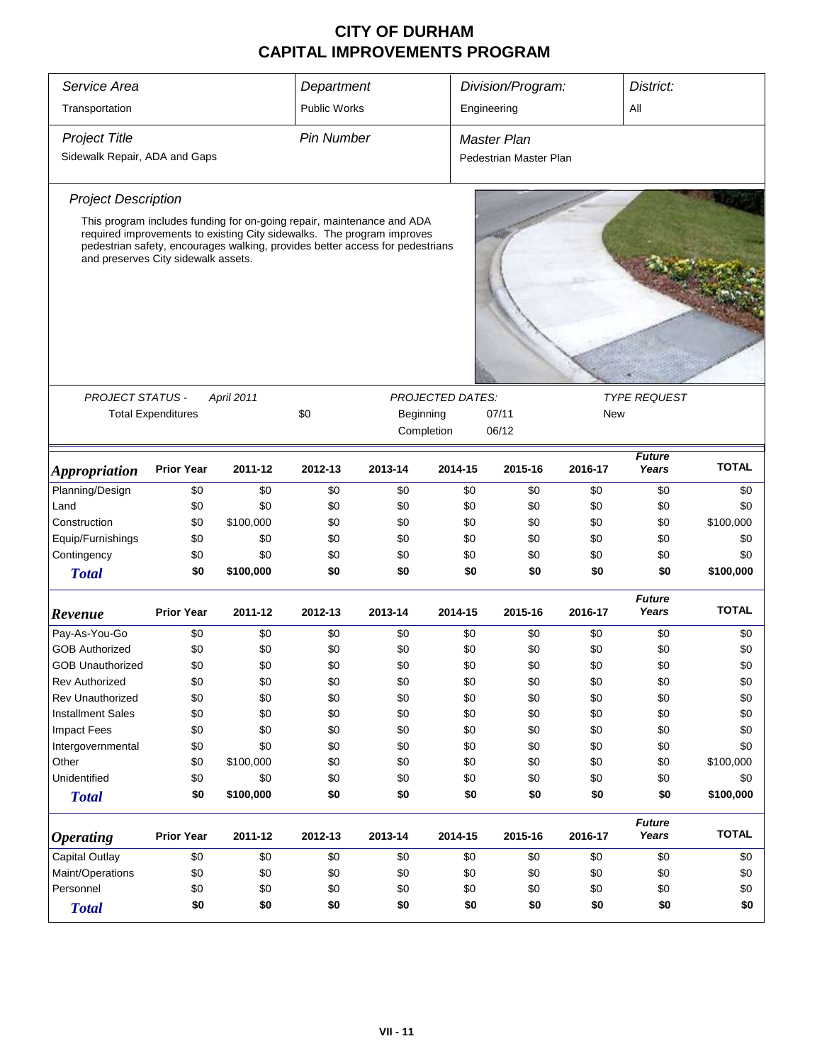| Service Area                        |                           |                                                                                                                                                         | Department          |           |                         | Division/Program:      |            |                        | District:    |  |
|-------------------------------------|---------------------------|---------------------------------------------------------------------------------------------------------------------------------------------------------|---------------------|-----------|-------------------------|------------------------|------------|------------------------|--------------|--|
| Transportation                      |                           |                                                                                                                                                         | <b>Public Works</b> |           |                         | Engineering            |            | All                    |              |  |
| <b>Project Title</b>                |                           |                                                                                                                                                         | <b>Pin Number</b>   |           |                         | <b>Master Plan</b>     |            |                        |              |  |
| Sidewalk Repair, ADA and Gaps       |                           |                                                                                                                                                         |                     |           |                         | Pedestrian Master Plan |            |                        |              |  |
| <b>Project Description</b>          |                           |                                                                                                                                                         |                     |           |                         |                        |            |                        |              |  |
|                                     |                           | This program includes funding for on-going repair, maintenance and ADA                                                                                  |                     |           |                         |                        |            |                        |              |  |
|                                     |                           | required improvements to existing City sidewalks. The program improves<br>pedestrian safety, encourages walking, provides better access for pedestrians |                     |           |                         |                        |            |                        |              |  |
| and preserves City sidewalk assets. |                           |                                                                                                                                                         |                     |           |                         |                        |            |                        |              |  |
|                                     |                           |                                                                                                                                                         |                     |           |                         |                        |            |                        |              |  |
|                                     |                           |                                                                                                                                                         |                     |           |                         |                        |            |                        |              |  |
|                                     |                           |                                                                                                                                                         |                     |           |                         |                        |            |                        |              |  |
|                                     |                           |                                                                                                                                                         |                     |           |                         |                        |            |                        |              |  |
|                                     |                           |                                                                                                                                                         |                     |           |                         |                        |            |                        |              |  |
| <b>PROJECT STATUS -</b>             |                           | April 2011                                                                                                                                              |                     |           | <b>PROJECTED DATES:</b> |                        |            | <b>TYPE REQUEST</b>    |              |  |
|                                     | <b>Total Expenditures</b> |                                                                                                                                                         | \$0                 | Beginning |                         | 07/11                  | <b>New</b> |                        |              |  |
|                                     |                           |                                                                                                                                                         |                     |           | Completion              | 06/12                  |            |                        |              |  |
| <b>Appropriation</b>                | <b>Prior Year</b>         | 2011-12                                                                                                                                                 | 2012-13             | 2013-14   | 2014-15                 | 2015-16                | 2016-17    | <b>Future</b><br>Years | <b>TOTAL</b> |  |
| Planning/Design                     | \$0                       | \$0                                                                                                                                                     | \$0                 | \$0       | \$0                     | \$0                    | \$0        | \$0                    | \$0          |  |
| Land                                | \$0                       | \$0                                                                                                                                                     | \$0                 | \$0       | \$0                     | \$0                    | \$0        | \$0                    | \$0          |  |
| Construction                        | \$0                       | \$100,000                                                                                                                                               | \$0                 | \$0       | \$0                     | \$0                    | \$0        | \$0                    | \$100,000    |  |
| Equip/Furnishings                   | \$0                       | \$0                                                                                                                                                     | \$0                 | \$0       | \$0                     | \$0                    | \$0        | \$0                    | \$0          |  |
| Contingency                         | \$0                       | \$0                                                                                                                                                     | \$0                 | \$0       | \$0                     | \$0                    | \$0        | \$0                    | \$0          |  |
| <b>Total</b>                        | \$0                       | \$100,000                                                                                                                                               | \$0                 | \$0       | \$0                     | \$0                    | \$0        | \$0                    | \$100,000    |  |
| Revenue                             | <b>Prior Year</b>         | 2011-12                                                                                                                                                 | 2012-13             | 2013-14   | 2014-15                 | 2015-16                | 2016-17    | <b>Future</b><br>Years | <b>TOTAL</b> |  |
| Pay-As-You-Go                       | \$0                       | \$0                                                                                                                                                     | \$0                 | \$0       | \$0                     | \$0                    | \$0        | \$0                    | \$0          |  |
| <b>GOB Authorized</b>               | \$0                       | \$0                                                                                                                                                     | \$0                 | \$0       | \$0                     | \$0                    | \$0        | \$0                    | \$0          |  |
| <b>GOB Unauthorized</b>             | \$0                       | \$0                                                                                                                                                     | \$0                 | \$0       | \$0                     | \$0                    | \$0        | \$0                    | \$0          |  |
| <b>Rev Authorized</b>               | \$0                       | \$0                                                                                                                                                     | \$0                 | \$0       | \$0                     | \$0                    | \$0        | \$0                    | \$0          |  |
| <b>Rev Unauthorized</b>             | \$0                       | \$0                                                                                                                                                     | \$0                 | \$0       | \$0                     | \$0                    | \$0        | \$0                    | \$0          |  |
| <b>Installment Sales</b>            | \$0                       | \$0                                                                                                                                                     | \$0                 | \$0       | \$0                     | \$0                    | \$0        | \$0                    | \$0          |  |
| <b>Impact Fees</b>                  | \$0                       | \$0                                                                                                                                                     | \$0                 | \$0       | \$0                     | \$0                    | \$0        | \$0                    | \$0          |  |
| Intergovernmental                   | \$0                       | \$0                                                                                                                                                     | \$0                 | \$0       | \$0                     | \$0                    | \$0        | \$0                    | \$0          |  |
| Other                               | \$0                       | \$100,000                                                                                                                                               | \$0                 | \$0       | \$0                     | \$0                    | \$0        | \$0                    | \$100,000    |  |
| Unidentified                        | \$0                       | \$0                                                                                                                                                     | \$0                 | \$0       | \$0                     | \$0                    | \$0        | \$0                    | \$0          |  |
| <b>Total</b>                        | \$0                       | \$100,000                                                                                                                                               | \$0                 | \$0       | \$0                     | \$0                    | \$0        | \$0                    | \$100,000    |  |
|                                     | <b>Prior Year</b>         | 2011-12                                                                                                                                                 | 2012-13             | 2013-14   | 2014-15                 | 2015-16                | 2016-17    | <b>Future</b><br>Years | <b>TOTAL</b> |  |
| <b>Operating</b>                    |                           |                                                                                                                                                         |                     |           |                         |                        |            |                        |              |  |
| Capital Outlay                      | \$0                       | \$0                                                                                                                                                     | \$0                 | \$0       | \$0                     | \$0                    | \$0        | \$0                    | \$0          |  |
| Maint/Operations                    | \$0                       | \$0                                                                                                                                                     | \$0                 | \$0       | \$0                     | \$0                    | \$0        | \$0                    | \$0          |  |
| Personnel                           | \$0                       | \$0                                                                                                                                                     | \$0                 | \$0       | \$0                     | \$0                    | \$0        | \$0                    | \$0          |  |
| <b>Total</b>                        | \$0                       | \$0                                                                                                                                                     | \$0                 | \$0       | \$0                     | \$0                    | \$0        | \$0                    | \$0          |  |